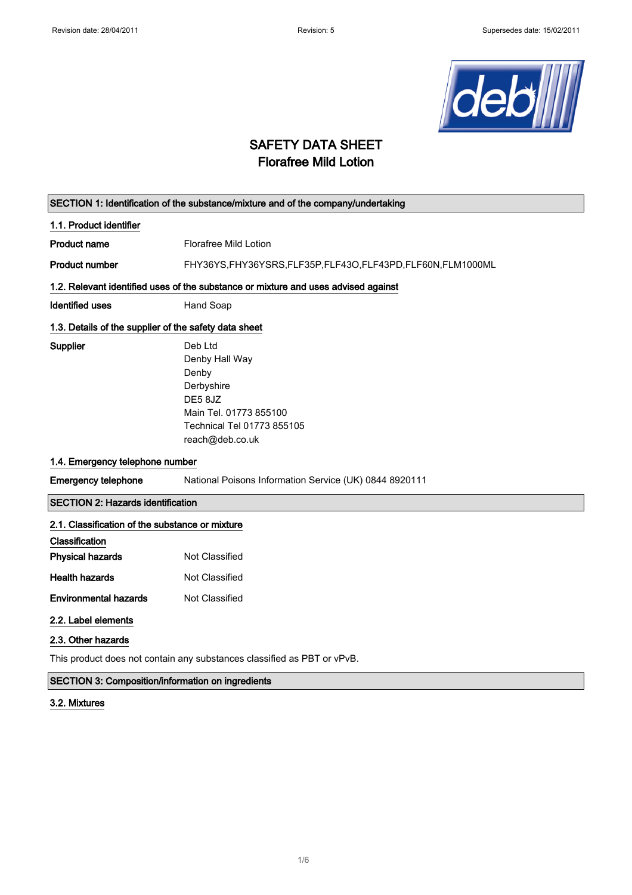

# SAFETY DATA SHEET Florafree Mild Lotion

|                                                                                    | SECTION 1: Identification of the substance/mixture and of the company/undertaking |  |  |
|------------------------------------------------------------------------------------|-----------------------------------------------------------------------------------|--|--|
| 1.1. Product identifier                                                            |                                                                                   |  |  |
| Product name                                                                       | <b>Florafree Mild Lotion</b>                                                      |  |  |
| <b>Product number</b>                                                              | FHY36YS,FHY36YSRS,FLF35P,FLF43O,FLF43PD,FLF60N,FLM1000ML                          |  |  |
| 1.2. Relevant identified uses of the substance or mixture and uses advised against |                                                                                   |  |  |
| Identified uses                                                                    | Hand Soap                                                                         |  |  |
| 1.3. Details of the supplier of the safety data sheet                              |                                                                                   |  |  |
| Supplier                                                                           | Deb Ltd<br>Denby Hall Way                                                         |  |  |
|                                                                                    | Denby                                                                             |  |  |
|                                                                                    | Derbyshire                                                                        |  |  |
|                                                                                    | DE5 8JZ                                                                           |  |  |
|                                                                                    | Main Tel. 01773 855100                                                            |  |  |
|                                                                                    | Technical Tel 01773 855105                                                        |  |  |
|                                                                                    | reach@deb.co.uk                                                                   |  |  |
| 1.4. Emergency telephone number                                                    |                                                                                   |  |  |
| <b>Emergency telephone</b>                                                         | National Poisons Information Service (UK) 0844 8920111                            |  |  |
| <b>SECTION 2: Hazards identification</b>                                           |                                                                                   |  |  |
| 2.1. Classification of the substance or mixture                                    |                                                                                   |  |  |
| Classification                                                                     |                                                                                   |  |  |
| <b>Physical hazards</b>                                                            | Not Classified                                                                    |  |  |
| <b>Health hazards</b>                                                              | Not Classified                                                                    |  |  |
| <b>Environmental hazards</b>                                                       | Not Classified                                                                    |  |  |
| 2.2. Label elements                                                                |                                                                                   |  |  |
| 2.3. Other hazards                                                                 |                                                                                   |  |  |
|                                                                                    |                                                                                   |  |  |

This product does not contain any substances classified as PBT or vPvB.

### SECTION 3: Composition/information on ingredients

#### 3.2. Mixtures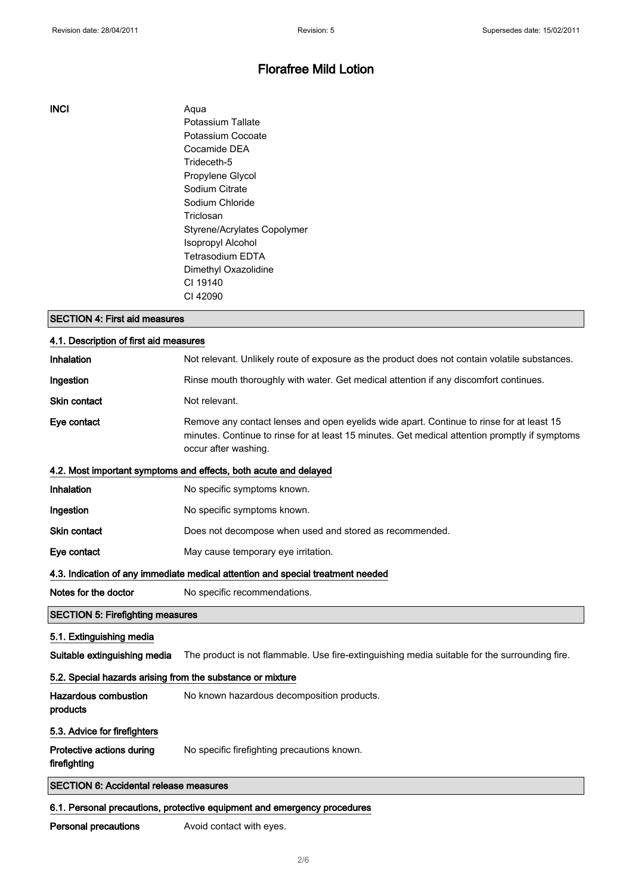#### INCI Aqua

Potassium Tallate Potassium Cocoate Cocamide DEA Trideceth-5 Propylene Glycol Sodium Citrate Sodium Chloride Triclosan Styrene/Acrylates Copolymer Isopropyl Alcohol Tetrasodium EDTA Dimethyl Oxazolidine CI 19140 CI 42090

#### SECTION 4: First aid measures

| 4.1. Description of first aid measures                                   |                                                                                                                                                                                                                    |  |
|--------------------------------------------------------------------------|--------------------------------------------------------------------------------------------------------------------------------------------------------------------------------------------------------------------|--|
| Inhalation                                                               | Not relevant. Unlikely route of exposure as the product does not contain volatile substances.                                                                                                                      |  |
| Ingestion                                                                | Rinse mouth thoroughly with water. Get medical attention if any discomfort continues.                                                                                                                              |  |
| <b>Skin contact</b>                                                      | Not relevant.                                                                                                                                                                                                      |  |
| Eye contact                                                              | Remove any contact lenses and open eyelids wide apart. Continue to rinse for at least 15<br>minutes. Continue to rinse for at least 15 minutes. Get medical attention promptly if symptoms<br>occur after washing. |  |
|                                                                          | 4.2. Most important symptoms and effects, both acute and delayed                                                                                                                                                   |  |
| Inhalation                                                               | No specific symptoms known.                                                                                                                                                                                        |  |
| Ingestion                                                                | No specific symptoms known.                                                                                                                                                                                        |  |
| Skin contact                                                             | Does not decompose when used and stored as recommended.                                                                                                                                                            |  |
| Eye contact                                                              | May cause temporary eye irritation.                                                                                                                                                                                |  |
|                                                                          | 4.3. Indication of any immediate medical attention and special treatment needed                                                                                                                                    |  |
| Notes for the doctor                                                     | No specific recommendations.                                                                                                                                                                                       |  |
| <b>SECTION 5: Firefighting measures</b>                                  |                                                                                                                                                                                                                    |  |
| 5.1. Extinguishing media                                                 |                                                                                                                                                                                                                    |  |
| Suitable extinguishing media                                             | The product is not flammable. Use fire-extinguishing media suitable for the surrounding fire.                                                                                                                      |  |
| 5.2. Special hazards arising from the substance or mixture               |                                                                                                                                                                                                                    |  |
| <b>Hazardous combustion</b><br>products                                  | No known hazardous decomposition products.                                                                                                                                                                         |  |
| 5.3. Advice for firefighters                                             |                                                                                                                                                                                                                    |  |
| Protective actions during<br>firefighting                                | No specific firefighting precautions known.                                                                                                                                                                        |  |
| <b>SECTION 6: Accidental release measures</b>                            |                                                                                                                                                                                                                    |  |
| 6.1. Personal precautions, protective equipment and emergency procedures |                                                                                                                                                                                                                    |  |

Personal precautions **Avoid contact with eyes.**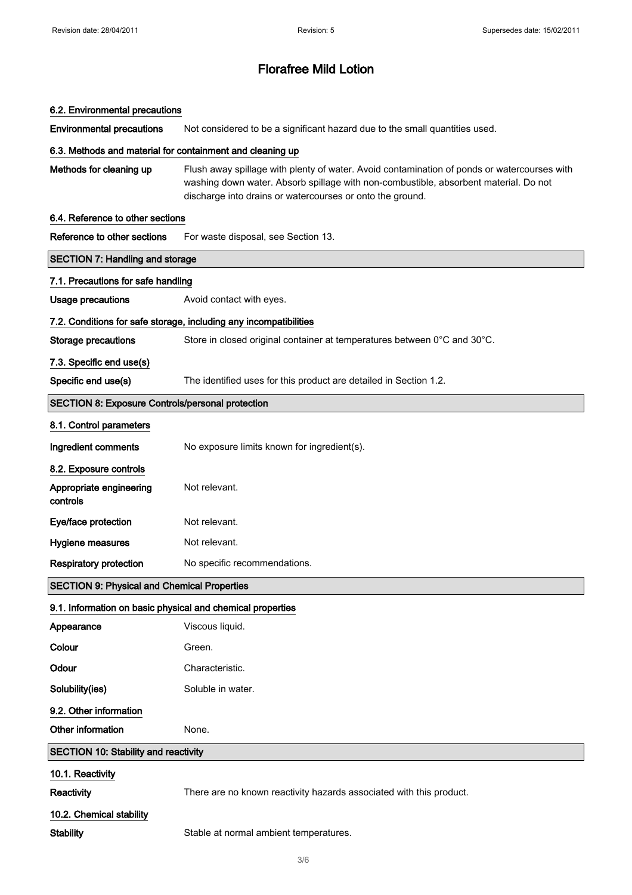#### 6.2. Environmental precautions

Environmental precautions Not considered to be a significant hazard due to the small quantities used.

#### 6.3. Methods and material for containment and cleaning up

Methods for cleaning up Flush away spillage with plenty of water. Avoid contamination of ponds or watercourses with washing down water. Absorb spillage with non-combustible, absorbent material. Do not discharge into drains or watercourses or onto the ground.

#### 6.4. Reference to other sections

| Reference to other sections                                | For waste disposal, see Section 13.                                      |  |
|------------------------------------------------------------|--------------------------------------------------------------------------|--|
| <b>SECTION 7: Handling and storage</b>                     |                                                                          |  |
| 7.1. Precautions for safe handling                         |                                                                          |  |
| <b>Usage precautions</b>                                   | Avoid contact with eyes.                                                 |  |
|                                                            | 7.2. Conditions for safe storage, including any incompatibilities        |  |
| <b>Storage precautions</b>                                 | Store in closed original container at temperatures between 0°C and 30°C. |  |
| 7.3. Specific end use(s)                                   |                                                                          |  |
| Specific end use(s)                                        | The identified uses for this product are detailed in Section 1.2.        |  |
| <b>SECTION 8: Exposure Controls/personal protection</b>    |                                                                          |  |
| 8.1. Control parameters                                    |                                                                          |  |
| Ingredient comments                                        | No exposure limits known for ingredient(s).                              |  |
| 8.2. Exposure controls                                     |                                                                          |  |
| Appropriate engineering<br>controls                        | Not relevant.                                                            |  |
| Eye/face protection                                        | Not relevant.                                                            |  |
| Hygiene measures                                           | Not relevant.                                                            |  |
| <b>Respiratory protection</b>                              | No specific recommendations.                                             |  |
| <b>SECTION 9: Physical and Chemical Properties</b>         |                                                                          |  |
| 9.1. Information on basic physical and chemical properties |                                                                          |  |
| Appearance                                                 | Viscous liquid.                                                          |  |
| Colour                                                     | Green.                                                                   |  |
| Odour                                                      | Characteristic.                                                          |  |
| Solubility(ies)                                            | Soluble in water.                                                        |  |
| 9.2. Other information                                     |                                                                          |  |
| Other information                                          | None.                                                                    |  |
| <b>SECTION 10: Stability and reactivity</b>                |                                                                          |  |
| 10.1. Reactivity                                           |                                                                          |  |
| Reactivity                                                 | There are no known reactivity hazards associated with this product.      |  |
| 10.2. Chemical stability                                   |                                                                          |  |
| <b>Stability</b>                                           | Stable at normal ambient temperatures.                                   |  |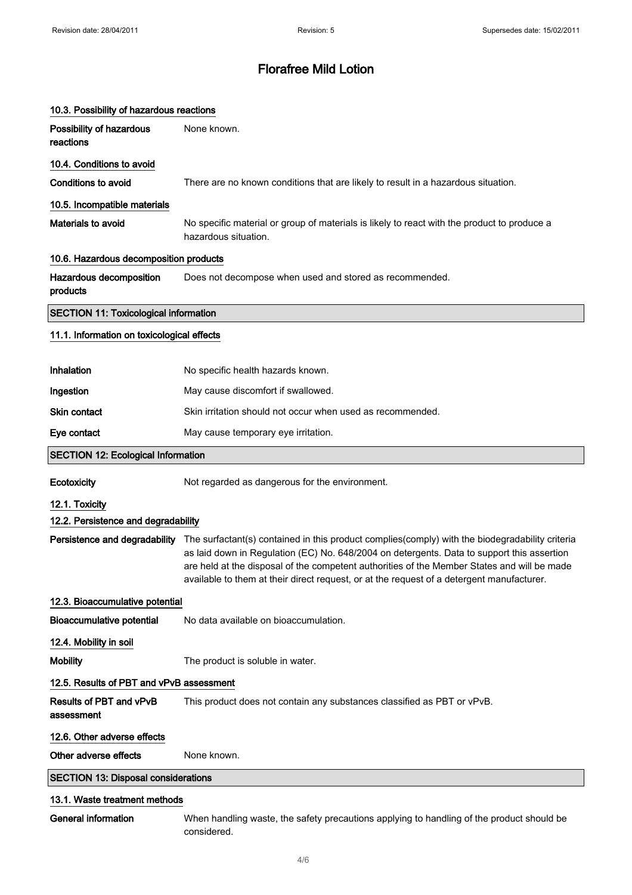| 10.3. Possibility of hazardous reactions     |                                                                                                                                                                                                                                                                                                                                                                                           |  |
|----------------------------------------------|-------------------------------------------------------------------------------------------------------------------------------------------------------------------------------------------------------------------------------------------------------------------------------------------------------------------------------------------------------------------------------------------|--|
| Possibility of hazardous<br>reactions        | None known.                                                                                                                                                                                                                                                                                                                                                                               |  |
| 10.4. Conditions to avoid                    |                                                                                                                                                                                                                                                                                                                                                                                           |  |
| <b>Conditions to avoid</b>                   | There are no known conditions that are likely to result in a hazardous situation.                                                                                                                                                                                                                                                                                                         |  |
| 10.5. Incompatible materials                 |                                                                                                                                                                                                                                                                                                                                                                                           |  |
| Materials to avoid                           | No specific material or group of materials is likely to react with the product to produce a<br>hazardous situation.                                                                                                                                                                                                                                                                       |  |
| 10.6. Hazardous decomposition products       |                                                                                                                                                                                                                                                                                                                                                                                           |  |
| Hazardous decomposition<br>products          | Does not decompose when used and stored as recommended.                                                                                                                                                                                                                                                                                                                                   |  |
| <b>SECTION 11: Toxicological information</b> |                                                                                                                                                                                                                                                                                                                                                                                           |  |
| 11.1. Information on toxicological effects   |                                                                                                                                                                                                                                                                                                                                                                                           |  |
| Inhalation                                   | No specific health hazards known.                                                                                                                                                                                                                                                                                                                                                         |  |
| Ingestion                                    | May cause discomfort if swallowed.                                                                                                                                                                                                                                                                                                                                                        |  |
| Skin contact                                 | Skin irritation should not occur when used as recommended.                                                                                                                                                                                                                                                                                                                                |  |
| Eye contact                                  | May cause temporary eye irritation.                                                                                                                                                                                                                                                                                                                                                       |  |
| <b>SECTION 12: Ecological Information</b>    |                                                                                                                                                                                                                                                                                                                                                                                           |  |
| Ecotoxicity                                  | Not regarded as dangerous for the environment.                                                                                                                                                                                                                                                                                                                                            |  |
| 12.1. Toxicity                               |                                                                                                                                                                                                                                                                                                                                                                                           |  |
| 12.2. Persistence and degradability          |                                                                                                                                                                                                                                                                                                                                                                                           |  |
| Persistence and degradability                | The surfactant(s) contained in this product complies(comply) with the biodegradability criteria<br>as laid down in Regulation (EC) No. 648/2004 on detergents. Data to support this assertion<br>are held at the disposal of the competent authorities of the Member States and will be made<br>available to them at their direct request, or at the request of a detergent manufacturer. |  |
| 12.3. Bioaccumulative potential              |                                                                                                                                                                                                                                                                                                                                                                                           |  |
| <b>Bioaccumulative potential</b>             | No data available on bioaccumulation.                                                                                                                                                                                                                                                                                                                                                     |  |
| 12.4. Mobility in soil                       |                                                                                                                                                                                                                                                                                                                                                                                           |  |
| <b>Mobility</b>                              | The product is soluble in water.                                                                                                                                                                                                                                                                                                                                                          |  |
| 12.5. Results of PBT and vPvB assessment     |                                                                                                                                                                                                                                                                                                                                                                                           |  |
| Results of PBT and vPvB<br>assessment        | This product does not contain any substances classified as PBT or vPvB.                                                                                                                                                                                                                                                                                                                   |  |
| 12.6. Other adverse effects                  |                                                                                                                                                                                                                                                                                                                                                                                           |  |
| Other adverse effects                        | None known.                                                                                                                                                                                                                                                                                                                                                                               |  |
| <b>SECTION 13: Disposal considerations</b>   |                                                                                                                                                                                                                                                                                                                                                                                           |  |
| 13.1. Waste treatment methods                |                                                                                                                                                                                                                                                                                                                                                                                           |  |
|                                              |                                                                                                                                                                                                                                                                                                                                                                                           |  |

General information When handling waste, the safety precautions applying to handling of the product should be considered.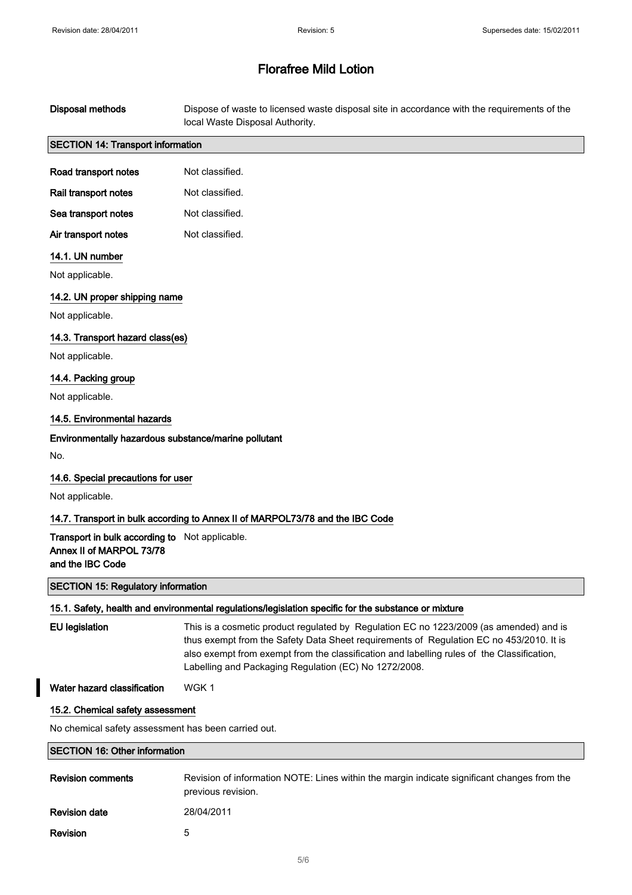| <b>Disposal methods</b>                                                                        | Dispose of waste to licensed waste disposal site in accordance with the requirements of the<br>local Waste Disposal Authority.                                                                                                                                                                                                           |  |
|------------------------------------------------------------------------------------------------|------------------------------------------------------------------------------------------------------------------------------------------------------------------------------------------------------------------------------------------------------------------------------------------------------------------------------------------|--|
| <b>SECTION 14: Transport information</b>                                                       |                                                                                                                                                                                                                                                                                                                                          |  |
| Road transport notes                                                                           | Not classified.                                                                                                                                                                                                                                                                                                                          |  |
| Rail transport notes                                                                           | Not classified.                                                                                                                                                                                                                                                                                                                          |  |
| Sea transport notes                                                                            | Not classified.                                                                                                                                                                                                                                                                                                                          |  |
| Air transport notes                                                                            | Not classified.                                                                                                                                                                                                                                                                                                                          |  |
| 14.1. UN number                                                                                |                                                                                                                                                                                                                                                                                                                                          |  |
| Not applicable.                                                                                |                                                                                                                                                                                                                                                                                                                                          |  |
| 14.2. UN proper shipping name                                                                  |                                                                                                                                                                                                                                                                                                                                          |  |
| Not applicable.                                                                                |                                                                                                                                                                                                                                                                                                                                          |  |
| 14.3. Transport hazard class(es)                                                               |                                                                                                                                                                                                                                                                                                                                          |  |
| Not applicable.                                                                                |                                                                                                                                                                                                                                                                                                                                          |  |
| 14.4. Packing group                                                                            |                                                                                                                                                                                                                                                                                                                                          |  |
| Not applicable.                                                                                |                                                                                                                                                                                                                                                                                                                                          |  |
| 14.5. Environmental hazards                                                                    |                                                                                                                                                                                                                                                                                                                                          |  |
| Environmentally hazardous substance/marine pollutant                                           |                                                                                                                                                                                                                                                                                                                                          |  |
| No.                                                                                            |                                                                                                                                                                                                                                                                                                                                          |  |
| 14.6. Special precautions for user                                                             |                                                                                                                                                                                                                                                                                                                                          |  |
| Not applicable.                                                                                |                                                                                                                                                                                                                                                                                                                                          |  |
|                                                                                                | 14.7. Transport in bulk according to Annex II of MARPOL73/78 and the IBC Code                                                                                                                                                                                                                                                            |  |
| Transport in bulk according to Not applicable.<br>Annex II of MARPOL 73/78<br>and the IBC Code |                                                                                                                                                                                                                                                                                                                                          |  |
| <b>SECTION 15: Regulatory information</b>                                                      |                                                                                                                                                                                                                                                                                                                                          |  |
|                                                                                                | 15.1. Safety, health and environmental regulations/legislation specific for the substance or mixture                                                                                                                                                                                                                                     |  |
| <b>EU</b> legislation                                                                          | This is a cosmetic product regulated by Regulation EC no 1223/2009 (as amended) and is<br>thus exempt from the Safety Data Sheet requirements of Regulation EC no 453/2010. It is<br>also exempt from exempt from the classification and labelling rules of the Classification,<br>Labelling and Packaging Regulation (EC) No 1272/2008. |  |
| Water hazard classification                                                                    | WGK1                                                                                                                                                                                                                                                                                                                                     |  |
| 15.2. Chemical safety assessment                                                               |                                                                                                                                                                                                                                                                                                                                          |  |
| No chemical safety assessment has been carried out.                                            |                                                                                                                                                                                                                                                                                                                                          |  |
| <b>SECTION 16: Other information</b>                                                           |                                                                                                                                                                                                                                                                                                                                          |  |
| <b>Revision comments</b>                                                                       | Revision of information NOTE: Lines within the margin indicate significant changes from the<br>previous revision.                                                                                                                                                                                                                        |  |

Revision 5

 $\overline{\phantom{a}}$